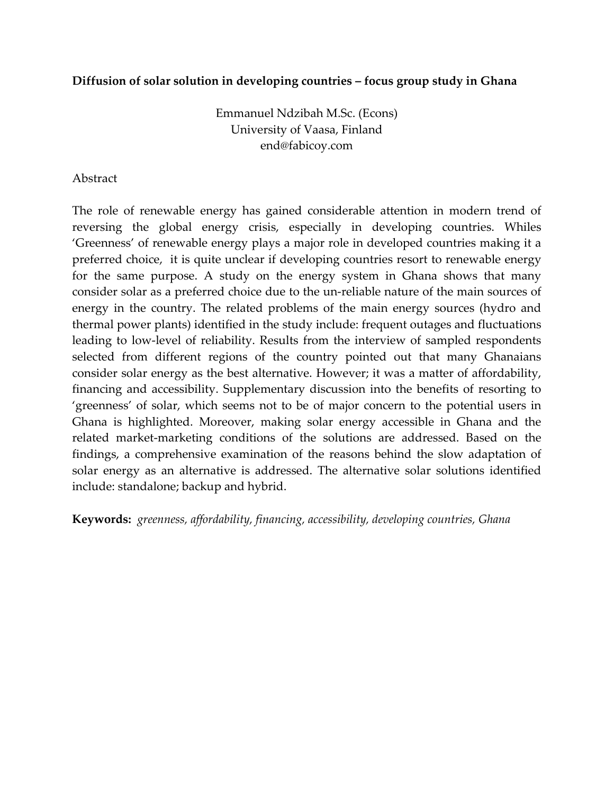### **Diffusion of solar solution in developing countries – focus group study in Ghana**

Emmanuel Ndzibah M.Sc. (Econs) University of Vaasa, Finland end@fabicoy.com

#### Abstract

The role of renewable energy has gained considerable attention in modern trend of reversing the global energy crisis, especially in developing countries. Whiles 'Greenness' of renewable energy plays a major role in developed countries making it a preferred choice, it is quite unclear if developing countries resort to renewable energy for the same purpose. A study on the energy system in Ghana shows that many consider solar as a preferred choice due to the un‐reliable nature of the main sources of energy in the country. The related problems of the main energy sources (hydro and thermal power plants) identified in the study include: frequent outages and fluctuations leading to low‐level of reliability. Results from the interview of sampled respondents selected from different regions of the country pointed out that many Ghanaians consider solar energy as the best alternative. However; it was a matter of affordability, financing and accessibility. Supplementary discussion into the benefits of resorting to 'greenness' of solar, which seems not to be of major concern to the potential users in Ghana is highlighted. Moreover, making solar energy accessible in Ghana and the related market-marketing conditions of the solutions are addressed. Based on the findings, a comprehensive examination of the reasons behind the slow adaptation of solar energy as an alternative is addressed. The alternative solar solutions identified include: standalone; backup and hybrid.

**Keywords:** *greenness, affordability, financing, accessibility, developing countries, Ghana*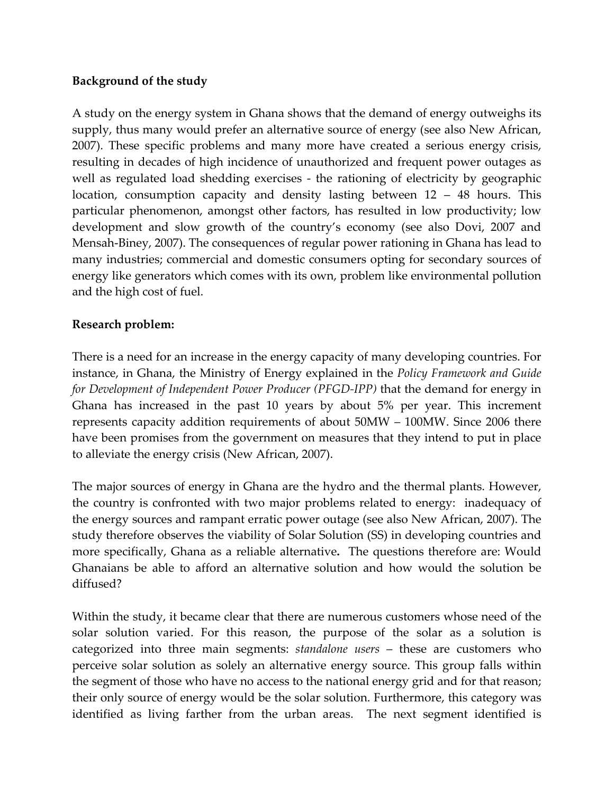## **Background of the study**

A study on the energy system in Ghana shows that the demand of energy outweighs its supply, thus many would prefer an alternative source of energy (see also New African, 2007). These specific problems and many more have created a serious energy crisis, resulting in decades of high incidence of unauthorized and frequent power outages as well as regulated load shedding exercises - the rationing of electricity by geographic location, consumption capacity and density lasting between 12 – 48 hours. This particular phenomenon, amongst other factors, has resulted in low productivity; low development and slow growth of the country's economy (see also Dovi, 2007 and Mensah‐Biney, 2007). The consequences of regular power rationing in Ghana has lead to many industries; commercial and domestic consumers opting for secondary sources of energy like generators which comes with its own, problem like environmental pollution and the high cost of fuel.

## **Research problem:**

There is a need for an increase in the energy capacity of many developing countries. For instance, in Ghana, the Ministry of Energy explained in the *Policy Framework and Guide for Development of Independent Power Producer (PFGD‐IPP)* that the demand for energy in Ghana has increased in the past 10 years by about 5% per year. This increment represents capacity addition requirements of about 50MW – 100MW. Since 2006 there have been promises from the government on measures that they intend to put in place to alleviate the energy crisis (New African, 2007).

The major sources of energy in Ghana are the hydro and the thermal plants. However, the country is confronted with two major problems related to energy: inadequacy of the energy sources and rampant erratic power outage (see also New African, 2007). The study therefore observes the viability of Solar Solution (SS) in developing countries and more specifically, Ghana as a reliable alternative**.** The questions therefore are: Would Ghanaians be able to afford an alternative solution and how would the solution be diffused?

Within the study, it became clear that there are numerous customers whose need of the solar solution varied. For this reason, the purpose of the solar as a solution is categorized into three main segments: *standalone users* – these are customers who perceive solar solution as solely an alternative energy source. This group falls within the segment of those who have no access to the national energy grid and for that reason; their only source of energy would be the solar solution. Furthermore, this category was identified as living farther from the urban areas. The next segment identified is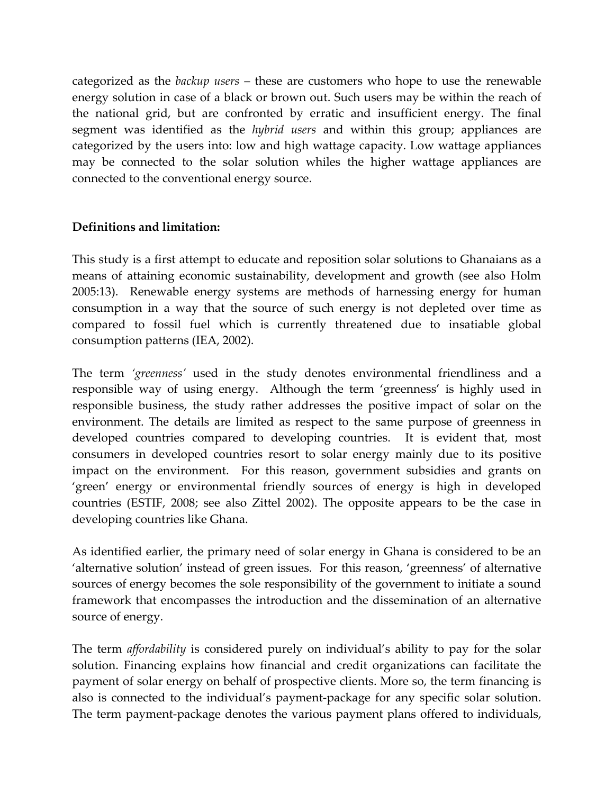categorized as the *backup users* – these are customers who hope to use the renewable energy solution in case of a black or brown out. Such users may be within the reach of the national grid, but are confronted by erratic and insufficient energy. The final segment was identified as the *hybrid users* and within this group; appliances are categorized by the users into: low and high wattage capacity. Low wattage appliances may be connected to the solar solution whiles the higher wattage appliances are connected to the conventional energy source.

## **Definitions and limitation:**

This study is a first attempt to educate and reposition solar solutions to Ghanaians as a means of attaining economic sustainability, development and growth (see also Holm 2005:13). Renewable energy systems are methods of harnessing energy for human consumption in a way that the source of such energy is not depleted over time as compared to fossil fuel which is currently threatened due to insatiable global consumption patterns (IEA, 2002).

The term *'greenness'* used in the study denotes environmental friendliness and a responsible way of using energy. Although the term 'greenness' is highly used in responsible business, the study rather addresses the positive impact of solar on the environment. The details are limited as respect to the same purpose of greenness in developed countries compared to developing countries. It is evident that, most consumers in developed countries resort to solar energy mainly due to its positive impact on the environment. For this reason, government subsidies and grants on 'green' energy or environmental friendly sources of energy is high in developed countries (ESTIF, 2008; see also Zittel 2002). The opposite appears to be the case in developing countries like Ghana.

As identified earlier, the primary need of solar energy in Ghana is considered to be an 'alternative solution' instead of green issues. For this reason, 'greenness' of alternative sources of energy becomes the sole responsibility of the government to initiate a sound framework that encompasses the introduction and the dissemination of an alternative source of energy.

The term *affordability* is considered purely on individual's ability to pay for the solar solution. Financing explains how financial and credit organizations can facilitate the payment of solar energy on behalf of prospective clients. More so, the term financing is also is connected to the individual's payment‐package for any specific solar solution. The term payment‐package denotes the various payment plans offered to individuals,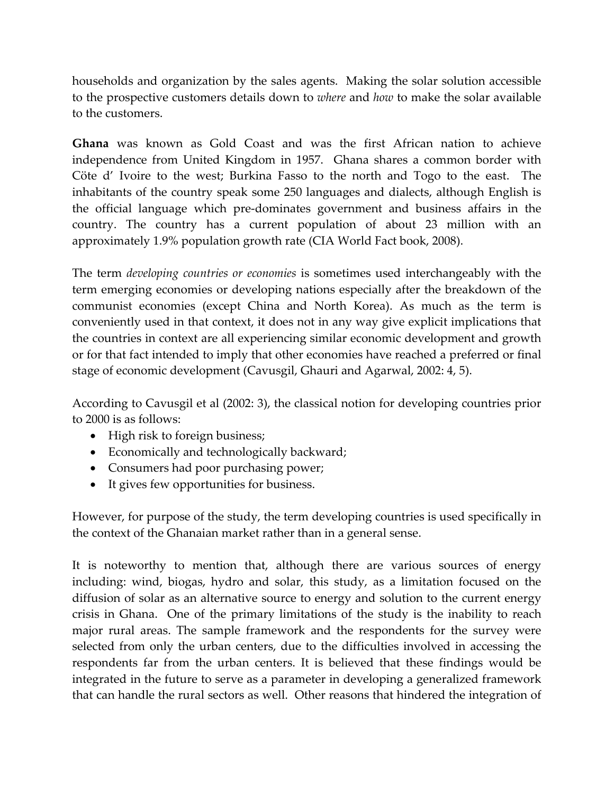households and organization by the sales agents. Making the solar solution accessible to the prospective customers details down to *where* and *how* to make the solar available to the customers.

**Ghana** was known as Gold Coast and was the first African nation to achieve independence from United Kingdom in 1957. Ghana shares a common border with Cöte d' Ivoire to the west; Burkina Fasso to the north and Togo to the east. The inhabitants of the country speak some 250 languages and dialects, although English is the official language which pre‐dominates government and business affairs in the country. The country has a current population of about 23 million with an approximately 1.9% population growth rate (CIA World Fact book, 2008).

The term *developing countries or economies* is sometimes used interchangeably with the term emerging economies or developing nations especially after the breakdown of the communist economies (except China and North Korea). As much as the term is conveniently used in that context, it does not in any way give explicit implications that the countries in context are all experiencing similar economic development and growth or for that fact intended to imply that other economies have reached a preferred or final stage of economic development (Cavusgil, Ghauri and Agarwal, 2002: 4, 5).

According to Cavusgil et al (2002: 3), the classical notion for developing countries prior to 2000 is as follows:

- High risk to foreign business;
- Economically and technologically backward;
- Consumers had poor purchasing power;
- It gives few opportunities for business.

However, for purpose of the study, the term developing countries is used specifically in the context of the Ghanaian market rather than in a general sense.

It is noteworthy to mention that, although there are various sources of energy including: wind, biogas, hydro and solar, this study, as a limitation focused on the diffusion of solar as an alternative source to energy and solution to the current energy crisis in Ghana. One of the primary limitations of the study is the inability to reach major rural areas. The sample framework and the respondents for the survey were selected from only the urban centers, due to the difficulties involved in accessing the respondents far from the urban centers. It is believed that these findings would be integrated in the future to serve as a parameter in developing a generalized framework that can handle the rural sectors as well. Other reasons that hindered the integration of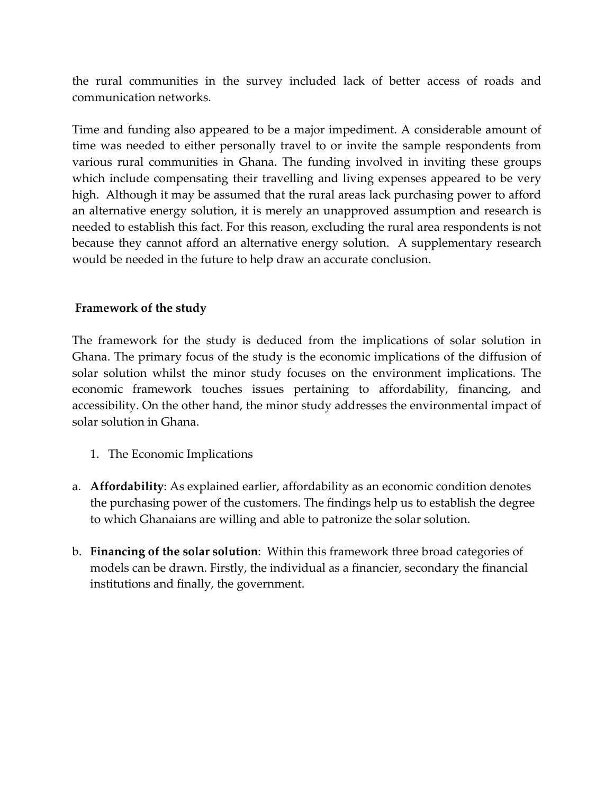the rural communities in the survey included lack of better access of roads and communication networks.

Time and funding also appeared to be a major impediment. A considerable amount of time was needed to either personally travel to or invite the sample respondents from various rural communities in Ghana. The funding involved in inviting these groups which include compensating their travelling and living expenses appeared to be very high. Although it may be assumed that the rural areas lack purchasing power to afford an alternative energy solution, it is merely an unapproved assumption and research is needed to establish this fact. For this reason, excluding the rural area respondents is not because they cannot afford an alternative energy solution. A supplementary research would be needed in the future to help draw an accurate conclusion.

#### **Framework of the study**

The framework for the study is deduced from the implications of solar solution in Ghana. The primary focus of the study is the economic implications of the diffusion of solar solution whilst the minor study focuses on the environment implications. The economic framework touches issues pertaining to affordability, financing, and accessibility. On the other hand, the minor study addresses the environmental impact of solar solution in Ghana.

- 1. The Economic Implications
- a. **Affordability**: As explained earlier, affordability as an economic condition denotes the purchasing power of the customers. The findings help us to establish the degree to which Ghanaians are willing and able to patronize the solar solution.
- b. **Financing of the solar solution**: Within this framework three broad categories of models can be drawn. Firstly, the individual as a financier, secondary the financial institutions and finally, the government.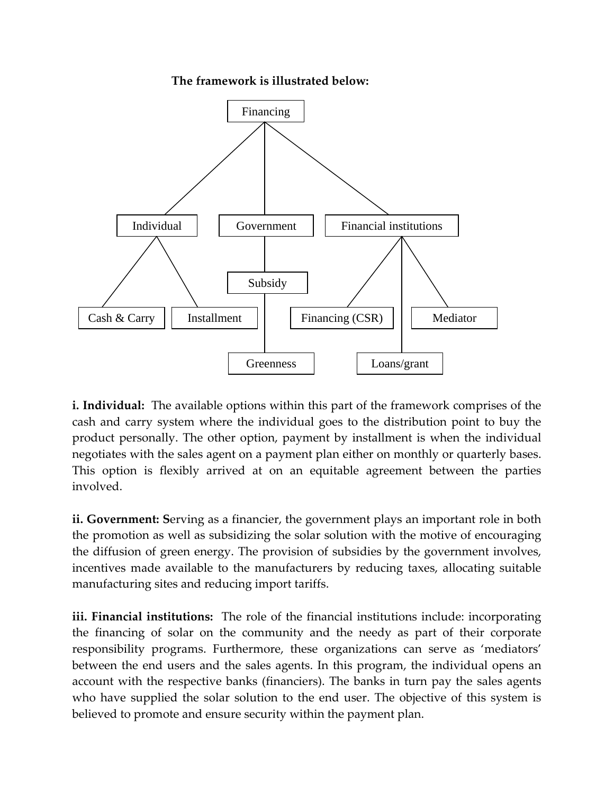**The framework is illustrated below:**



**i. Individual:** The available options within this part of the framework comprises of the cash and carry system where the individual goes to the distribution point to buy the product personally. The other option, payment by installment is when the individual negotiates with the sales agent on a payment plan either on monthly or quarterly bases. This option is flexibly arrived at on an equitable agreement between the parties involved.

**ii. Government: S**erving as a financier, the government plays an important role in both the promotion as well as subsidizing the solar solution with the motive of encouraging the diffusion of green energy. The provision of subsidies by the government involves, incentives made available to the manufacturers by reducing taxes, allocating suitable manufacturing sites and reducing import tariffs.

**iii. Financial institutions:** The role of the financial institutions include: incorporating the financing of solar on the community and the needy as part of their corporate responsibility programs. Furthermore, these organizations can serve as 'mediators' between the end users and the sales agents. In this program, the individual opens an account with the respective banks (financiers). The banks in turn pay the sales agents who have supplied the solar solution to the end user. The objective of this system is believed to promote and ensure security within the payment plan.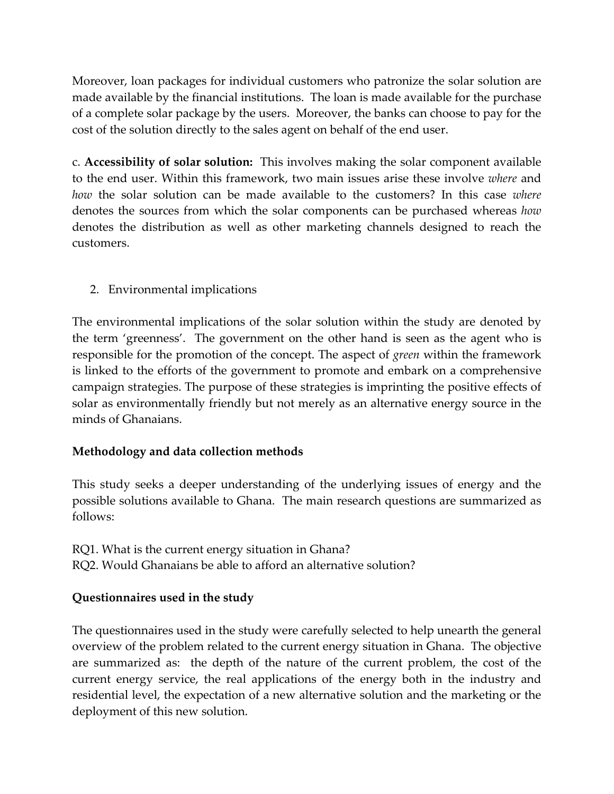Moreover, loan packages for individual customers who patronize the solar solution are made available by the financial institutions. The loan is made available for the purchase of a complete solar package by the users. Moreover, the banks can choose to pay for the cost of the solution directly to the sales agent on behalf of the end user.

c. **Accessibility of solar solution:** This involves making the solar component available to the end user. Within this framework, two main issues arise these involve *where* and *how* the solar solution can be made available to the customers? In this case *where* denotes the sources from which the solar components can be purchased whereas *how* denotes the distribution as well as other marketing channels designed to reach the customers.

# 2. Environmental implications

The environmental implications of the solar solution within the study are denoted by the term 'greenness'. The government on the other hand is seen as the agent who is responsible for the promotion of the concept. The aspect of *green* within the framework is linked to the efforts of the government to promote and embark on a comprehensive campaign strategies. The purpose of these strategies is imprinting the positive effects of solar as environmentally friendly but not merely as an alternative energy source in the minds of Ghanaians.

## **Methodology and data collection methods**

This study seeks a deeper understanding of the underlying issues of energy and the possible solutions available to Ghana. The main research questions are summarized as follows:

RQ1. What is the current energy situation in Ghana? RQ2. Would Ghanaians be able to afford an alternative solution?

## **Questionnaires used in the study**

The questionnaires used in the study were carefully selected to help unearth the general overview of the problem related to the current energy situation in Ghana. The objective are summarized as: the depth of the nature of the current problem, the cost of the current energy service, the real applications of the energy both in the industry and residential level, the expectation of a new alternative solution and the marketing or the deployment of this new solution.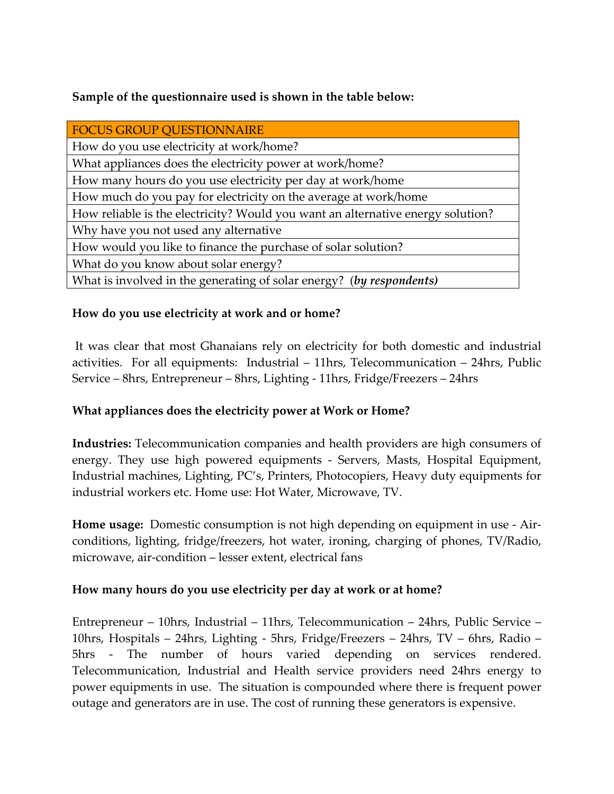**Sample of the questionnaire used is shown in the table below:** 

| <b>FOCUS GROUP QUESTIONNAIRE</b>                                                |
|---------------------------------------------------------------------------------|
| How do you use electricity at work/home?                                        |
| What appliances does the electricity power at work/home?                        |
| How many hours do you use electricity per day at work/home                      |
| How much do you pay for electricity on the average at work/home                 |
| How reliable is the electricity? Would you want an alternative energy solution? |
| Why have you not used any alternative                                           |
| How would you like to finance the purchase of solar solution?                   |
| What do you know about solar energy?                                            |
| What is involved in the generating of solar energy? (by respondents)            |

# **How do you use electricity at work and or home?**

It was clear that most Ghanaians rely on electricity for both domestic and industrial activities. For all equipments: Industrial – 11hrs, Telecommunication – 24hrs, Public Service – 8hrs, Entrepreneur – 8hrs, Lighting ‐ 11hrs, Fridge/Freezers – 24hrs

# **What appliances does the electricity power at Work or Home?**

**Industries:** Telecommunication companies and health providers are high consumers of energy. They use high powered equipments ‐ Servers, Masts, Hospital Equipment, Industrial machines, Lighting, PC's, Printers, Photocopiers, Heavy duty equipments for industrial workers etc. Home use: Hot Water, Microwave, TV.

**Home usage:** Domestic consumption is not high depending on equipment in use ‐ Air‐ conditions, lighting, fridge/freezers, hot water, ironing, charging of phones, TV/Radio, microwave, air‐condition – lesser extent, electrical fans

## **How many hours do you use electricity per day at work or at home?**

Entrepreneur – 10hrs, Industrial – 11hrs, Telecommunication – 24hrs, Public Service – 10hrs, Hospitals – 24hrs, Lighting ‐ 5hrs, Fridge/Freezers – 24hrs, TV – 6hrs, Radio – 5hrs ‐ The number of hours varied depending on services rendered. Telecommunication, Industrial and Health service providers need 24hrs energy to power equipments in use. The situation is compounded where there is frequent power outage and generators are in use. The cost of running these generators is expensive.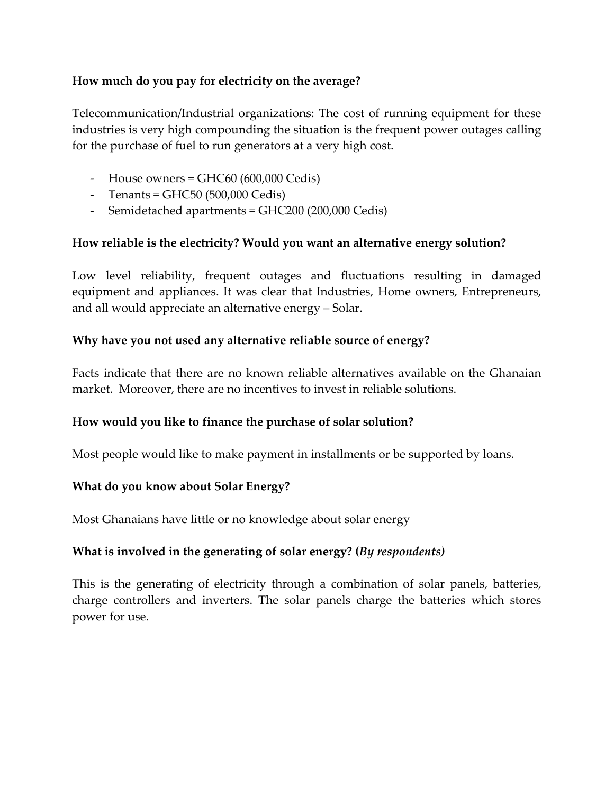## **How much do you pay for electricity on the average?**

Telecommunication/Industrial organizations: The cost of running equipment for these industries is very high compounding the situation is the frequent power outages calling for the purchase of fuel to run generators at a very high cost.

- ‐ House owners = GHC60 (600,000 Cedis)
- ‐ Tenants = GHC50 (500,000 Cedis)
- ‐ Semidetached apartments = GHC200 (200,000 Cedis)

## **How reliable is the electricity? Would you want an alternative energy solution?**

Low level reliability, frequent outages and fluctuations resulting in damaged equipment and appliances. It was clear that Industries, Home owners, Entrepreneurs, and all would appreciate an alternative energy – Solar.

## **Why have you not used any alternative reliable source of energy?**

Facts indicate that there are no known reliable alternatives available on the Ghanaian market. Moreover, there are no incentives to invest in reliable solutions.

## **How would you like to finance the purchase of solar solution?**

Most people would like to make payment in installments or be supported by loans.

## **What do you know about Solar Energy?**

Most Ghanaians have little or no knowledge about solar energy

## **What is involved in the generating of solar energy? (***By respondents)*

This is the generating of electricity through a combination of solar panels, batteries, charge controllers and inverters. The solar panels charge the batteries which stores power for use.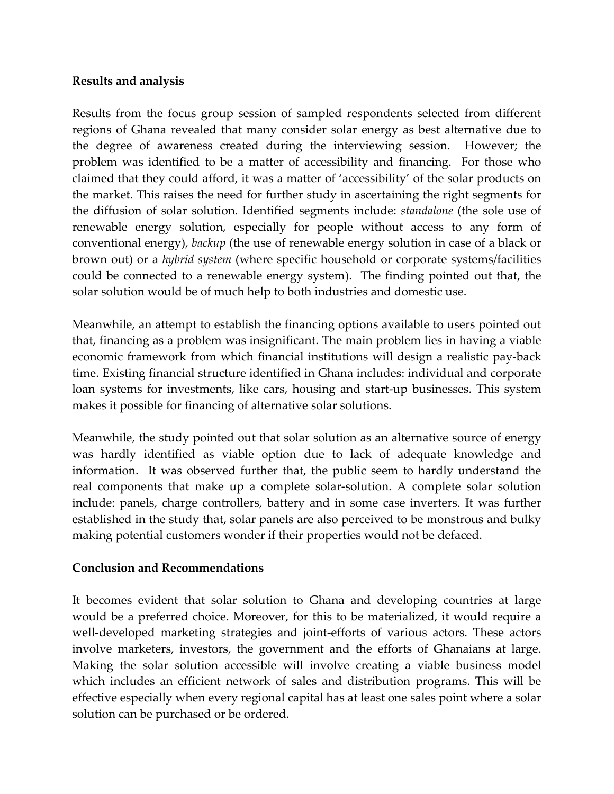#### **Results and analysis**

Results from the focus group session of sampled respondents selected from different regions of Ghana revealed that many consider solar energy as best alternative due to the degree of awareness created during the interviewing session. However; the problem was identified to be a matter of accessibility and financing. For those who claimed that they could afford, it was a matter of 'accessibility' of the solar products on the market. This raises the need for further study in ascertaining the right segments for the diffusion of solar solution. Identified segments include: *standalone* (the sole use of renewable energy solution, especially for people without access to any form of conventional energy), *backup* (the use of renewable energy solution in case of a black or brown out) or a *hybrid system* (where specific household or corporate systems/facilities could be connected to a renewable energy system). The finding pointed out that, the solar solution would be of much help to both industries and domestic use.

Meanwhile, an attempt to establish the financing options available to users pointed out that, financing as a problem was insignificant. The main problem lies in having a viable economic framework from which financial institutions will design a realistic pay‐back time. Existing financial structure identified in Ghana includes: individual and corporate loan systems for investments, like cars, housing and start‐up businesses. This system makes it possible for financing of alternative solar solutions.

Meanwhile, the study pointed out that solar solution as an alternative source of energy was hardly identified as viable option due to lack of adequate knowledge and information. It was observed further that, the public seem to hardly understand the real components that make up a complete solar‐solution. A complete solar solution include: panels, charge controllers, battery and in some case inverters. It was further established in the study that, solar panels are also perceived to be monstrous and bulky making potential customers wonder if their properties would not be defaced.

#### **Conclusion and Recommendations**

It becomes evident that solar solution to Ghana and developing countries at large would be a preferred choice. Moreover, for this to be materialized, it would require a well-developed marketing strategies and joint-efforts of various actors. These actors involve marketers, investors, the government and the efforts of Ghanaians at large. Making the solar solution accessible will involve creating a viable business model which includes an efficient network of sales and distribution programs. This will be effective especially when every regional capital has at least one sales point where a solar solution can be purchased or be ordered.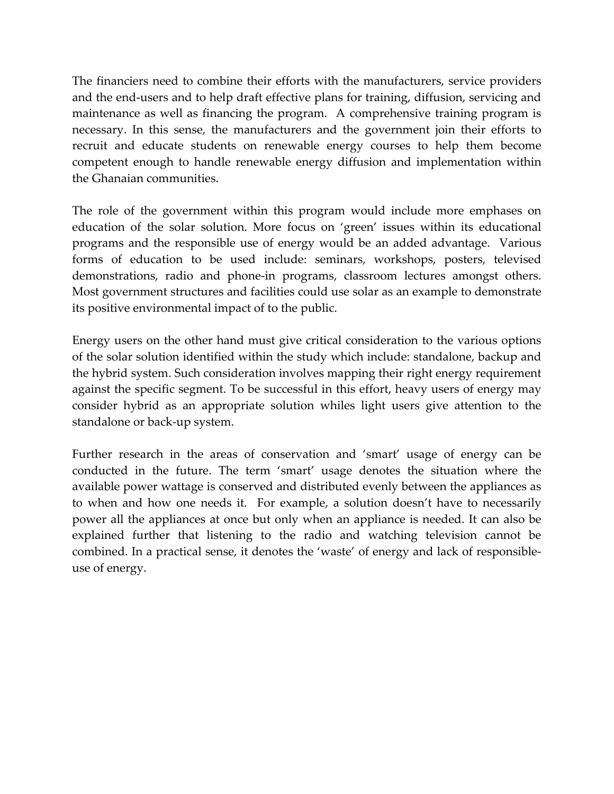The financiers need to combine their efforts with the manufacturers, service providers and the end‐users and to help draft effective plans for training, diffusion, servicing and maintenance as well as financing the program. A comprehensive training program is necessary. In this sense, the manufacturers and the government join their efforts to recruit and educate students on renewable energy courses to help them become competent enough to handle renewable energy diffusion and implementation within the Ghanaian communities.

The role of the government within this program would include more emphases on education of the solar solution. More focus on 'green' issues within its educational programs and the responsible use of energy would be an added advantage.Various forms of education to be used include: seminars, workshops, posters, televised demonstrations, radio and phone‐in programs, classroom lectures amongst others. Most government structures and facilities could use solar as an example to demonstrate its positive environmental impact of to the public.

Energy users on the other hand must give critical consideration to the various options of the solar solution identified within the study which include: standalone, backup and the hybrid system. Such consideration involves mapping their right energy requirement against the specific segment. To be successful in this effort, heavy users of energy may consider hybrid as an appropriate solution whiles light users give attention to the standalone or back‐up system.

Further research in the areas of conservation and 'smart' usage of energy can be conducted in the future. The term 'smart' usage denotes the situation where the available power wattage is conserved and distributed evenly between the appliances as to when and how one needs it. For example, a solution doesn't have to necessarily power all the appliances at once but only when an appliance is needed. It can also be explained further that listening to the radio and watching television cannot be combined. In a practical sense, it denotes the 'waste' of energy and lack of responsible‐ use of energy.